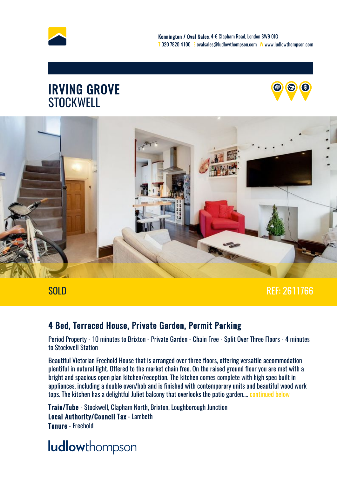





#### SOLD REF: 2611766

#### 4 Bed, Terraced House, Private Garden, Permit Parking

Period Property - 10 minutes to Brixton - Private Garden - Chain Free - Split Over Three Floors - 4 minutes to Stockwell Station

Beautiful Victorian Freehold House that is arranged over three floors, offering versatile accommodation plentiful in natural light. Offered to the market chain free. On the raised ground floor you are met with a bright and spacious open plan kitchen/reception. The kitchen comes complete with high spec built in appliances, including a double oven/hob and is finished with contemporary units and beautiful wood work tops. The kitchen has a delightful Juliet balcony that overlooks the patio garden.... [continued below](#page-5-0)

Train/Tube - Stockwell, Clapham North, Brixton, Loughborough Junction Local Authority/Council Tax - Lambeth Tenure - Freehold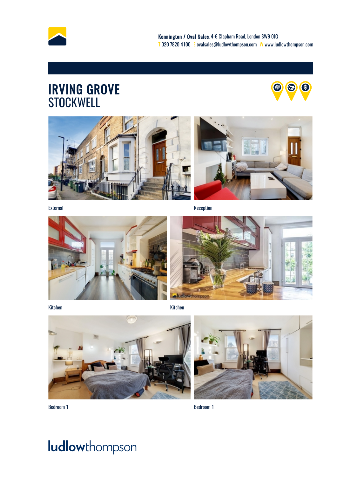







External Reception **Reception** Reception





Kitchen Kitchen





Bedroom 1 Bedroom 1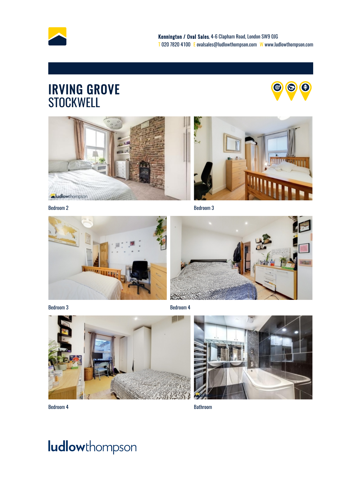





Bedroom 2 Bedroom 3



Bedroom 3 Bedroom 4





Bedroom 4 Bathroom

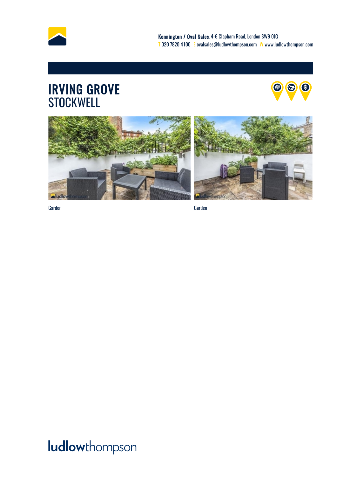







Garden Garden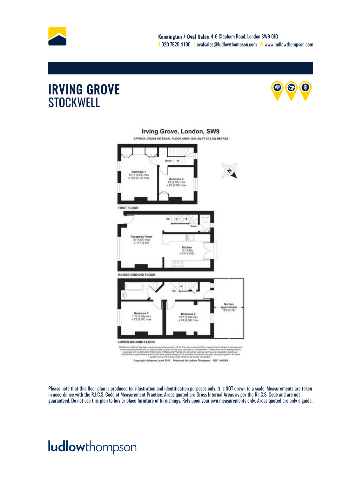



#### Irving Grove, London, SW9 APPROX. GROSS INTERNAL FLOOR AREA 1054 SQ FT 97.9 SQ METRES Down > (4.55) Badw  $_{max}$ 19 (2.97) max **FIRST FLOOR** 17 ma<br>13 63 1 Kitchen<br>13' (3.96)<br>x 9'11 (3.02) **RAISED GROUND FLOOR** Gard pproximate<br>18'9 (5.72) 11'S (3.48) max<br>x 9'S (2.87) max 127 (3.84) max<br>x 9'4 (2.84) max LOWER GROUND FLOOR y RICS Co ed as such by any (<br>led on this plan. An siring<br>PM 100 Practice and s<br>lage of the pic<br>sot ba relatio on REF: 486269 co.uk 2019 F

Please note that this floor plan is produced for illustration and identification purposes only. It is NOT drawn to a scale. Measurements are taken in accordance with the R.I.C.S. Code of Measurement Practice. Areas quoted are Gross Internal Areas as per the R.I.C.S. Code and are not guaranteed. Do not use this plan to buy or place furniture of furnishings. Rely upon your own measurements only. Areas quoted are only a guide.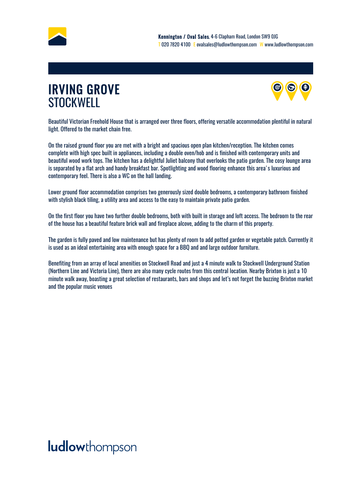<span id="page-5-0"></span>



Beautiful Victorian Freehold House that is arranged over three floors, offering versatile accommodation plentiful in natural light. Offered to the market chain free.

On the raised ground floor you are met with a bright and spacious open plan kitchen/reception. The kitchen comes complete with high spec built in appliances, including a double oven/hob and is finished with contemporary units and beautiful wood work tops. The kitchen has a delightful Juliet balcony that overlooks the patio garden. The cosy lounge area is separated by a flat arch and handy breakfast bar. Spotlighting and wood flooring enhance this area's luxurious and contemporary feel. There is also a WC on the hall landing.

Lower ground floor accommodation comprises two generously sized double bedrooms, a contemporary bathroom finished with stylish black tiling, a utility area and access to the easy to maintain private patio garden.

On the first floor you have two further double bedrooms, both with built in storage and loft access. The bedroom to the rear of the house has a beautiful feature brick wall and fireplace alcove, adding to the charm of this property.

The garden is fully paved and low maintenance but has plenty of room to add potted garden or vegetable patch. Currently it is used as an ideal entertaining area with enough space for a BBQ and and large outdoor furniture.

Benefiting from an array of local amenities on Stockwell Road and just a 4 minute walk to Stockwell Underground Station (Northern Line and Victoria Line), there are also many cycle routes from this central location. Nearby Brixton is just a 10 minute walk away, boasting a great selection of restaurants, bars and shops and let's not forget the buzzing Brixton market and the popular music venues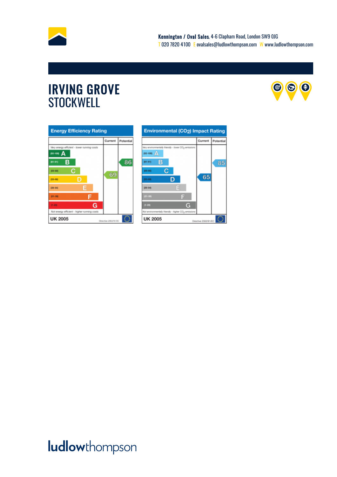



| <b>Energy Efficiency Rating</b>             |                      |           |
|---------------------------------------------|----------------------|-----------|
|                                             | Current              | Potential |
| Very energy efficient - lower running costs |                      |           |
| $62 - 100$ $\Delta$                         |                      |           |
| в<br>(81-91)                                |                      | 86        |
| с<br>(69-80)                                | 69                   |           |
| D<br>$(55 - 68)$                            |                      |           |
| E<br>$(39 - 54)$                            |                      |           |
| $21 - 30$                                   |                      |           |
| G<br>$13 - 203$                             |                      |           |
| Not energy efficient - higher running casts |                      |           |
| <b>UK 2005</b>                              | Directive 2002/91/EC |           |

| <b>Environmental (CO2) Impact Rating</b>                        |                      |           |  |
|-----------------------------------------------------------------|----------------------|-----------|--|
|                                                                 | Current              | Potential |  |
| Very emirosmentally friendly - Jower CO <sub>3</sub> emissions  |                      |           |  |
| $(92 - 100)$ $\Delta$                                           |                      |           |  |
| в<br>$(10 - 10)$                                                |                      | 85        |  |
| с<br>(39-80)                                                    |                      |           |  |
| (55-60)                                                         | 65                   |           |  |
| Е<br>09-546                                                     |                      |           |  |
| $\equiv$<br>$(21 - 36)$                                         |                      |           |  |
| G<br>$(1 - 20)$                                                 |                      |           |  |
| Not environmentally friendly - higher CO <sub>2</sub> emissions |                      |           |  |
| <b>UK 2005</b>                                                  | Directive 2002/91/EC |           |  |